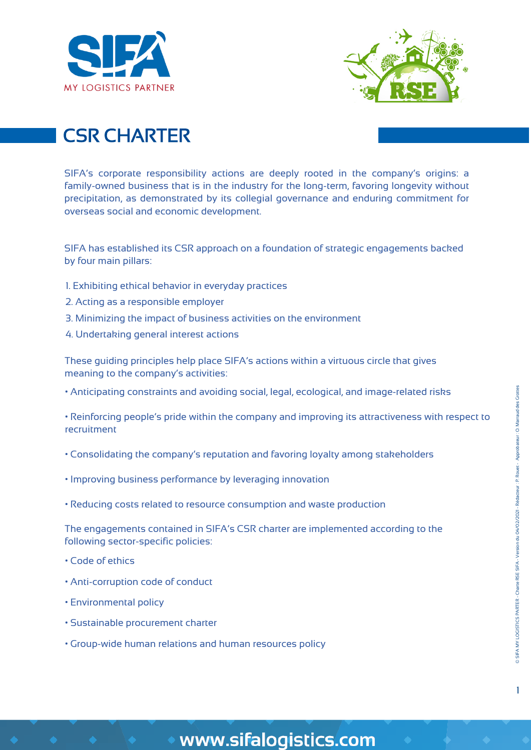



# CSR CHARTER

SIFA's corporate responsibility actions are deeply rooted in the company's origins: a family-owned business that is in the industry for the long-term, favoring longevity without precipitation, as demonstrated by its collegial governance and enduring commitment for overseas social and economic development.

SIFA has established its CSR approach on a foundation of strategic engagements backed by four main pillars:

- 1. Exhibiting ethical behavior in everyday practices
- 2. Acting as a responsible employer
- 3. Minimizing the impact of business activities on the environment
- 4. Undertaking general interest actions

These guiding principles help place SIFA's actions within a virtuous circle that gives meaning to the company's activities:

• Anticipating constraints and avoiding social, legal, ecological, and image-related risks

• Reinforcing people's pride within the company and improving its attractiveness with respect to recruitment

- Consolidating the company's reputation and favoring loyalty among stakeholders
- Improving business performance by leveraging innovation
- Reducing costs related to resource consumption and waste production

The engagements contained in SIFA's CSR charter are implemented according to the following sector-specific policies:

- Code of ethics
- Anti-corruption code of conduct
- Environmental policy
- Sustainable procurement charter
- Group-wide human relations and human resources policy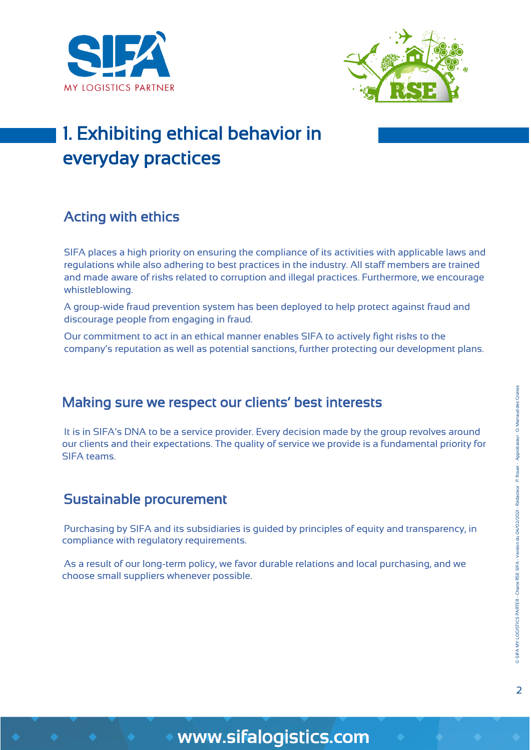



# 1. Exhibiting ethical behavior in everyday practices

### Acting with ethics

SIFA places a high priority on ensuring the compliance of its activities with applicable laws and regulations while also adhering to best practices in the industry. All staff members are trained and made aware of risks related to corruption and illegal practices. Furthermore, we encourage whistleblowing.

A group-wide fraud prevention system has been deployed to help protect against fraud and discourage people from engaging in fraud.

Our commitment to act in an ethical manner enables SIFA to actively fight risks to the company's reputation as well as potential sanctions, further protecting our development plans.

#### Making sure we respect our clients' best interests

It is in SIFA's DNA to be a service provider. Every decision made by the group revolves around our clients and their expectations. The quality of service we provide is a fundamental priority for SIFA teams.

#### Sustainable procurement

Purchasing by SIFA and its subsidiaries is guided by principles of equity and transparency, in compliance with regulatory requirements.

As a result of our long-term policy, we favor durable relations and local purchasing, and we choose small suppliers whenever possible.

 $\overline{2}$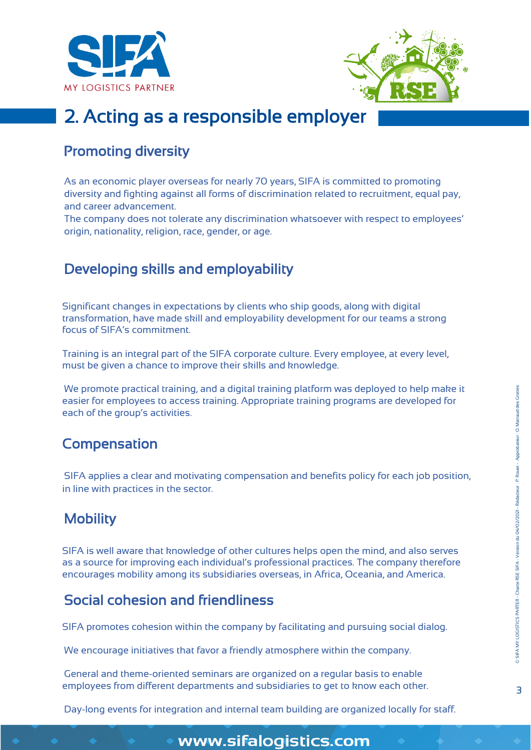



# 2. Acting as a responsible employer

#### Promoting diversity

As an economic player overseas for nearly 70 years, SIFA is committed to promoting diversity and fighting against all forms of discrimination related to recruitment, equal pay, and career advancement.

The company does not tolerate any discrimination whatsoever with respect to employees' origin, nationality, religion, race, gender, or age.

### Developing skills and employability

Significant changes in expectations by clients who ship goods, along with digital transformation, have made skill and employability development for our teams a strong focus of SIFA's commitment.

Training is an integral part of the SIFA corporate culture. Every employee, at every level, must be given a chance to improve their skills and knowledge.

We promote practical training, and a digital training platform was deployed to help make it easier for employees to access training. Appropriate training programs are developed for each of the group's activities.

#### Compensation

SIFA applies a clear and motivating compensation and benefits policy for each job position, in line with practices in the sector.

### **Mobility**

SIFA is well aware that knowledge of other cultures helps open the mind, and also serves as a source for improving each individual's professional practices. The company therefore encourages mobility among its subsidiaries overseas, in Africa, Oceania, and America.

#### Social cohesion and friendliness

SIFA promotes cohesion within the company by facilitating and pursuing social dialog.

We encourage initiatives that favor a friendly atmosphere within the company.

General and theme-oriented seminars are organized on a regular basis to enable employees from different departments and subsidiaries to get to know each other.

Day-long events for integration and internal team building are organized locally for staff.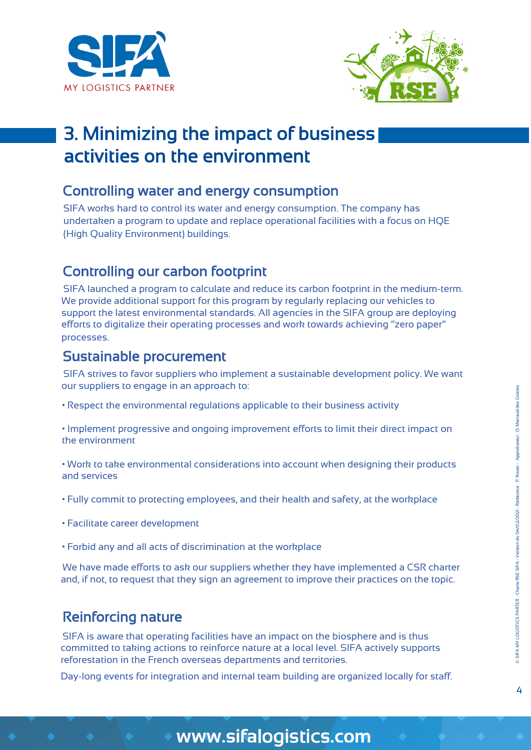



# 3. Minimizing the impact of business activities on the environment

#### Controlling water and energy consumption

SIFA works hard to control its water and energy consumption. The company has undertaken a program to update and replace operational facilities with a focus on HQE (High Quality Environment) buildings.

#### Controlling our carbon footprint

SIFA launched a program to calculate and reduce its carbon footprint in the medium-term. We provide additional support for this program by regularly replacing our vehicles to support the latest environmental standards. All agencies in the SIFA group are deploying efforts to digitalize their operating processes and work towards achieving "zero paper" processes.

#### Sustainable procurement

SIFA strives to favor suppliers who implement a sustainable development policy. We want our suppliers to engage in an approach to:

• Respect the environmental regulations applicable to their business activity

• Implement progressive and ongoing improvement efforts to limit their direct impact on the environment

• Work to take environmental considerations into account when designing their products and services

- Fully commit to protecting employees, and their health and safety, at the workplace
- Facilitate career development
- Forbid any and all acts of discrimination at the workplace

We have made efforts to ask our suppliers whether they have implemented a CSR charter and, if not, to request that they sign an agreement to improve their practices on the topic.

#### Reinforcing nature

SIFA is aware that operating facilities have an impact on the biosphere and is thus committed to taking actions to reinforce nature at a local level. SIFA actively supports reforestation in the French overseas departments and territories.

Day-long events for integration and internal team building are organized locally for staff.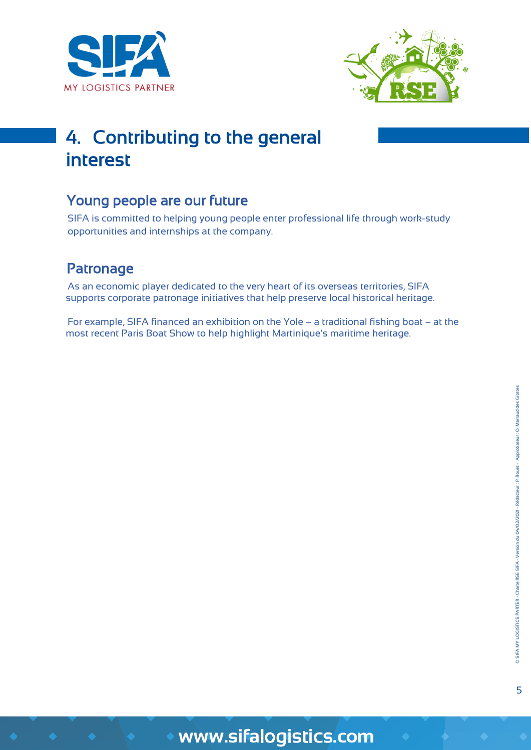



# 4. Contributing to the general interest

### Young people are our future

SIFA is committed to helping young people enter professional life through work-study opportunities and internships at the company.

### Patronage

As an economic player dedicated to the very heart of its overseas territories, SIFA supports corporate patronage initiatives that help preserve local historical heritage.

For example, SIFA financed an exhibition on the Yole – a traditional fishing boat – at the most recent Paris Boat Show to help highlight Martinique's maritime heritage.

5